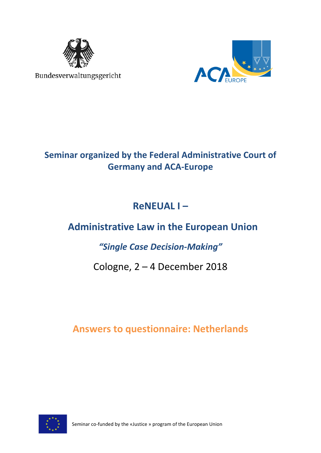

Bundesverwaltungsgericht



### **Seminar organized by the Federal Administrative Court of Germany and ACA-Europe**

# **ReNEUAL I –**

# **Administrative Law in the European Union**

### *"Single Case Decision-Making"*

## Cologne, 2 – 4 December 2018

### **Answers to questionnaire: Netherlands**

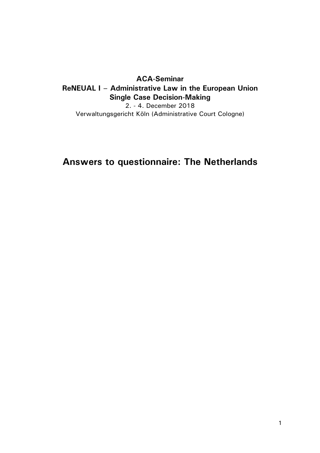### ACA-Seminar ReNEUAL I – Administrative Law in the European Union Single Case Decision-Making

2. - 4. December 2018 Verwaltungsgericht Köln (Administrative Court Cologne)

### Answers to questionnaire: The Netherlands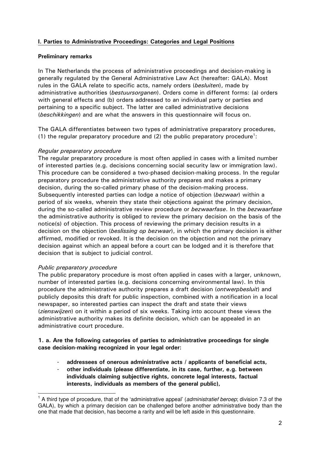#### I. Parties to Administrative Proceedings: Categories and Legal Positions

#### Preliminary remarks

In The Netherlands the process of administrative proceedings and decision-making is generally regulated by the General Administrative Law Act (hereafter: GALA). Most rules in the GALA relate to specific acts, namely orders (besluiten), made by administrative authorities (bestuursorganen). Orders come in different forms: (a) orders with general effects and (b) orders addressed to an individual party or parties and pertaining to a specific subject. The latter are called administrative decisions (beschikkingen) and are what the answers in this questionnaire will focus on.

The GALA differentiates between two types of administrative preparatory procedures, (1) the regular preparatory procedure and (2) the public preparatory procedure<sup>1</sup>:

#### Regular preparatory procedure

The regular preparatory procedure is most often applied in cases with a limited number of interested parties (e.g. decisions concerning social security law or immigration law). This procedure can be considered a two-phased decision-making process. In the regular preparatory procedure the administrative authority prepares and makes a primary decision, during the so-called primary phase of the decision-making process. Subsequently interested parties can lodge a notice of objection (bezwaar) within a period of six weeks, wherein they state their objections against the primary decision, during the so-called administrative review procedure or *bezwaarfase*. In the *bezwaarfase* the administrative authority is obliged to review the primary decision on the basis of the notice(s) of objection. This process of reviewing the primary decision results in a decision on the objection (beslissing op bezwaar), in which the primary decision is either affirmed, modified or revoked. It is the decision on the objection and not the primary decision against which an appeal before a court can be lodged and it is therefore that decision that is subject to judicial control.

#### Public preparatory procedure

-

The public preparatory procedure is most often applied in cases with a larger, unknown, number of interested parties (e.g. decisions concerning environmental law). In this procedure the administrative authority prepares a draft decision (*ontwerpbesluit*) and publicly deposits this draft for public inspection, combined with a notification in a local newspaper, so interested parties can inspect the draft and state their views (zienswijzen) on it within a period of six weeks. Taking into account these views the administrative authority makes its definite decision, which can be appealed in an administrative court procedure.

#### 1. a. Are the following categories of parties to administrative proceedings for single case decision-making recognized in your legal order:

- addressees of onerous administrative acts / applicants of beneficial acts,
- other individuals (please differentiate, in its case, further, e.g. between individuals claiming subjective rights, concrete legal interests, factual interests, individuals as members of the general public),

<sup>&</sup>lt;sup>1</sup> A third type of procedure, that of the 'administrative appeal' (administratief beroep; division 7.3 of the GALA), by which a primary decision can be challenged before another administrative body than the one that made that decision, has become a rarity and will be left aside in this questionnaire.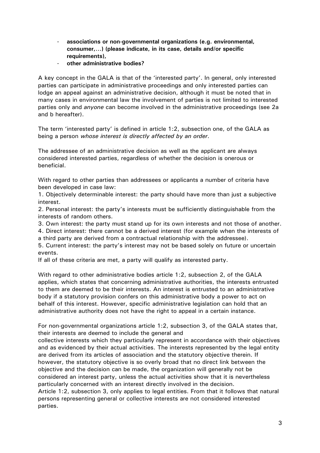- associations or non-governmental organizations (e.g. environmental, consumer,…) (please indicate, in its case, details and/or specific requirements),
- other administrative bodies?

A key concept in the GALA is that of the 'interested party'. In general, only interested parties can participate in administrative proceedings and only interested parties can lodge an appeal against an administrative decision, although it must be noted that in many cases in environmental law the involvement of parties is not limited to interested parties only and anyone can become involved in the administrative proceedings (see 2a and b hereafter).

The term 'interested party' is defined in article 1:2, subsection one, of the GALA as being a person whose interest is directly affected by an order.

The addressee of an administrative decision as well as the applicant are always considered interested parties, regardless of whether the decision is onerous or beneficial.

With regard to other parties than addressees or applicants a number of criteria have been developed in case law:

1. Objectively determinable interest: the party should have more than just a subjective interest.

2. Personal interest: the party's interests must be sufficiently distinguishable from the interests of random others.

3. Own interest: the party must stand up for its own interests and not those of another.

4. Direct interest: there cannot be a derived interest (for example when the interests of a third party are derived from a contractual relationship with the addressee).

5. Current interest: the party's interest may not be based solely on future or uncertain events.

If all of these criteria are met, a party will qualify as interested party.

With regard to other administrative bodies article 1:2, subsection 2, of the GALA applies, which states that concerning administrative authorities, the interests entrusted to them are deemed to be their interests. An interest is entrusted to an administrative body if a statutory provision confers on this administrative body a power to act on behalf of this interest. However, specific administrative legislation can hold that an administrative authority does not have the right to appeal in a certain instance.

For non-governmental organizations article 1:2, subsection 3, of the GALA states that, their interests are deemed to include the general and

collective interests which they particularly represent in accordance with their objectives and as evidenced by their actual activities. The interests represented by the legal entity are derived from its articles of association and the statutory objective therein. If however, the statutory objective is so overly broad that no direct link between the objective and the decision can be made, the organization will generally not be considered an interest party, unless the actual activities show that it is nevertheless particularly concerned with an interest directly involved in the decision.

Article 1:2, subsection 3, only applies to legal entities. From that it follows that natural persons representing general or collective interests are not considered interested parties.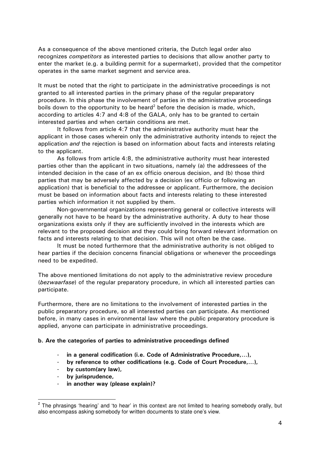As a consequence of the above mentioned criteria, the Dutch legal order also recognizes *competitors* as interested parties to decisions that allow another party to enter the market (e.g. a building permit for a supermarket), provided that the competitor operates in the same market segment and service area.

It must be noted that the right to participate in the administrative proceedings is not granted to all interested parties in the primary phase of the regular preparatory procedure. In this phase the involvement of parties in the administrative proceedings boils down to the opportunity to be heard<sup>2</sup> before the decision is made, which, according to articles 4:7 and 4:8 of the GALA, only has to be granted to certain interested parties and when certain conditions are met.

 It follows from article 4:7 that the administrative authority must hear the applicant in those cases wherein only the administrative authority intends to reject the application *and* the rejection is based on information about facts and interests relating to the applicant.

 As follows from article 4:8, the administrative authority must hear interested parties other than the applicant in two situations, namely (a) the addressees of the intended decision in the case of an ex officio onerous decision, and (b) those third parties that may be adversely affected by a decision (ex officio or following an application) that is beneficial to the addressee or applicant. Furthermore, the decision must be based on information about facts and interests relating to these interested parties which information it not supplied by them.

Non-governmental organizations representing general or collective interests will generally not have to be heard by the administrative authority. A duty to hear those organizations exists only if they are sufficiently involved in the interests which are relevant to the proposed decision and they could bring forward relevant information on facts and interests relating to that decision. This will not often be the case.

 It must be noted furthermore that the administrative authority is not obliged to hear parties if the decision concerns financial obligations or whenever the proceedings need to be expedited.

The above mentioned limitations do not apply to the administrative review procedure (bezwaarfase) of the regular preparatory procedure, in which all interested parties can participate.

Furthermore, there are no limitations to the involvement of interested parties in the public preparatory procedure, so all interested parties can participate. As mentioned before, in many cases in environmental law where the public preparatory procedure is applied, anyone can participate in administrative proceedings.

#### b. Are the categories of parties to administrative proceedings defined

- in a general codification (i.e. Code of Administrative Procedure,…),
- by reference to other codifications (e.g. Code of Court Procedure,...),
- by custom(ary law),
- by jurisprudence,
- in another way (please explain)?

Purasing the phrasings 'hearing' and 'to hear' in this context are not limited to hearing somebody orally, but also encompass asking somebody for written documents to state one's view.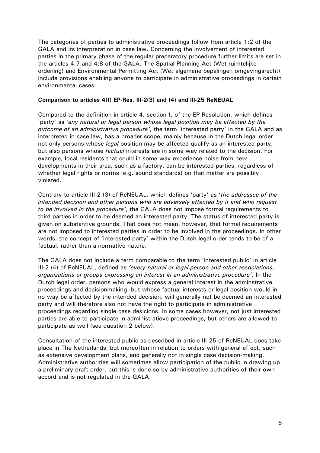The categories of parties to administrative proceedings follow from article 1:2 of the GALA and its interpretation in case law. Concerning the involvement of interested parties in the primary phase of the regular preparatory procedure further limits are set in the articles 4:7 and 4:8 of the GALA. The Spatial Planning Act (Wet ruimtelijke ordening) and Environmental Permitting Act (Wet algemene bepalingen omgevingsrecht) include provisions enabling anyone to participate in administrative proceedings in certain environmental cases.

#### Comparison to articles 4(f) EP-Res, III-2(3) and (4) and III-25 ReNEUAL

Compared to the definition in article 4, section f, of the EP Resolution, which defines 'party' as 'any natural or legal person whose legal position may be affected by the outcome of an administrative procedure', the term 'interested party' in the GALA and as interpreted in case law, has a broader scope, mainly because in the Dutch legal order not only persons whose legal position may be affected qualify as an interested party, but also persons whose *factual* interests are in some way related to the decision. For example, local residents that could in some way experience noise from new developments in their area, such as a factory, can be interested parties, regardless of whether legal rights or norms (e.g. sound standards) on that matter are possibly violated.

Contrary to article III-2 (3) of ReNEUAL, which defines 'party' as 'the addressee of the intended decision and other persons who are adversely affected by it and who request to be involved in the procedure', the GALA does not impose formal requirements to third parties in order to be deemed an interested party. The status of interested party is given on substantive grounds. That does not mean, however, that formal requirements are not imposed to interested parties in order to be involved in the proceedings. In other words, the concept of 'interested party' within the Dutch legal order tends to be of a factual, rather than a normative nature.

The GALA does not include a term comparable to the term 'interested public' in article III-2 (4) of ReNEUAL, defined as 'every natural or legal person and other associations, organizations or groups expressing an interest in an administrative procedure'. In the Dutch legal order, persons who would express a general interest in the adminstrative proceedings and decisionmaking, but whose factual interests or legal position would in no way be affected by the intended decision, will generally not be deemed an interested party and will therefore also not have the right to participate in administrative proceedings regarding single case desicions. In some cases however, not just interested parties are able to participate in administratieve proceedings, but others are allowed to participate as well (see question 2 below).

Consultation of the interested public as described in article III-25 of ReNEUAL does take place in The Netherlands, but moreoften in relation to orders with general effect, such as extensive development plans, and generally not in single case decision-making. Administrative authorities will sometimes allow participation of the public in drawing up a preliminary draft order, but this is done so by administrative authorities of their own accord and is not regulated in the GALA.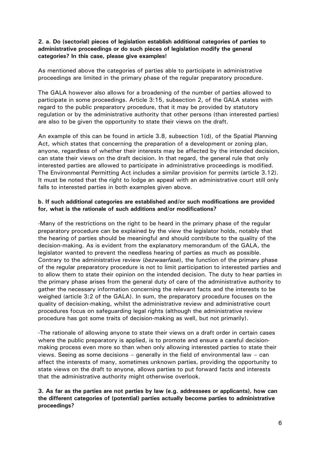#### 2. a. Do (sectorial) pieces of legislation establish additional categories of parties to administrative proceedings or do such pieces of legislation modify the general categories? In this case, please give examples!

As mentioned above the categories of parties able to participate in administrative proceedings are limited in the primary phase of the regular preparatory procedure.

The GALA however also allows for a broadening of the number of parties allowed to participate in some proceedings. Article 3:15, subsection 2, of the GALA states with regard to the public preparatory procedure, that it may be provided by statutory regulation or by the administrative authority that other persons (than interested parties) are also to be given the opportunity to state their views on the draft.

An example of this can be found in article 3.8, subsection 1(d), of the Spatial Planning Act, which states that concerning the preparation of a development or zoning plan, anyone, regardless of whether their interests may be affected by the intended decision, can state their views on the draft decision. In that regard, the general rule that only interested parties are allowed to participate in administrative proceedings is modified. The Environmental Permitting Act includes a similar provision for permits (article 3.12). It must be noted that the right to lodge an appeal with an administrative court still only falls to interested parties in both examples given above.

#### b. If such additional categories are established and/or such modifications are provided for, what is the rationale of such additions and/or modifications?

-Many of the restrictions on the right to be heard in the primary phase of the regular preparatory procedure can be explained by the view the legislator holds, notably that the hearing of parties should be meaningful and should contribute to the quality of the decision-making. As is evident from the explanatory memorandum of the GALA, the legislator wanted to prevent the needless hearing of parties as much as possible. Contrary to the administrative review (bezwaarfase), the function of the primary phase of the regular preparatory procedure is not to limit participation to interested parties and to allow them to state their opinion on the intended decision. The duty to hear parties in the primary phase arises from the general duty of care of the administrative authority to gather the necessary information concerning the relevant facts and the interests to be weighed (article 3:2 of the GALA). In sum, the preparatory procedure focuses on the quality of decision-making, whilst the administrative review and administrative court procedures focus on safeguarding legal rights (although the administrative review procedure has got some traits of decision-making as well, but not primarily).

-The rationale of allowing anyone to state their views on a draft order in certain cases where the public preparatory is applied, is to promote and ensure a careful decisionmaking process even more so than when only allowing interested parties to state their views. Seeing as some decisions – generally in the field of environmental law – can affect the interests of many, sometimes unknown parties, providing the opportunity to state views on the draft to anyone, allows parties to put forward facts and interests that the administrative authority might otherwise overlook.

3. As far as the parties are not parties by law (e.g. addressees or applicants), how can the different categories of (potential) parties actually become parties to administrative proceedings?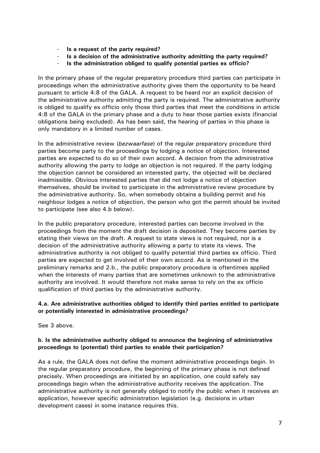- Is a request of the party required?
- Is a decision of the administrative authority admitting the party required?
- Is the administration obliged to qualify potential parties ex officio?

In the primary phase of the regular preparatory procedure third parties can participate in proceedings when the administrative authority gives them the opportunity to be heard pursuant to article 4:8 of the GALA. A request to be heard nor an explicit decision of the administrative authority admitting the party is required. The administrative authority is obliged to qualify ex officio only those third parties that meet the conditions in article 4:8 of the GALA in the primary phase and a duty to hear those parties exists (financial obligations being excluded). As has been said, the hearing of parties in this phase is only mandatory in a limited number of cases.

In the administrative review (bezwaarfase) of the regular preparatory procedure third parties become party to the proceedings by lodging a notice of objection. Interested parties are expected to do so of their own accord. A decision from the administrative authority allowing the party to lodge an objection is not required. If the party lodging the objection cannot be considered an interested party, the objected will be declared inadmissible. Obvious interested parties that did not lodge a notice of objection themselves, should be invited to participate in the administrative review procedure by the administrative authority. So, when somebody obtains a building permit and his neighbour lodges a notice of objection, the person who got the permit should be invited to participate (see also 4.b below).

In the public preparatory procedure, interested parties can become involved in the proceedings from the moment the draft decision is deposited. They become parties by stating their views on the draft. A request to state views is not required, nor is a decision of the administrative authority allowing a party to state its views. The administrative authority is not obliged to qualify potential third parties ex officio. Third parties are expected to get involved of their own accord. As is mentioned in the preliminary remarks and 2.b., the public preparatory procedure is oftentimes applied when the interests of many parties that are sometimes unknown to the administrative authority are involved. It would therefore not make sense to rely on the ex officio qualification of third parties by the administrative authority.

#### 4.a. Are administrative authorities obliged to identify third parties entitled to participate or potentially interested in administrative proceedings?

See 3 above.

#### b. Is the administrative authority obliged to announce the beginning of administrative proceedings to (potential) third parties to enable their participation?

As a rule, the GALA does not define the moment administrative proceedings begin. In the regular preparatory procedure, the beginning of the primary phase is not defined precisely. When proceedings are initiated by an application, one could safely say proceedings begin when the administrative authority receives the application. The administrative authority is not generally obliged to notify the public when it receives an application, however specific administration legislation (e.g. decisions in urban development cases) in some instance requires this.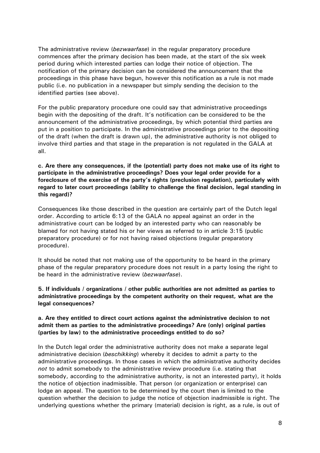The administrative review (bezwaarfase) in the regular preparatory procedure commences after the primary decision has been made, at the start of the six week period during which interested parties can lodge their notice of objection. The notification of the primary decision can be considered the announcement that the proceedings in this phase have begun, however this notification as a rule is not made public (i.e. no publication in a newspaper but simply sending the decision to the identified parties (see above).

For the public preparatory procedure one could say that administrative proceedings begin with the depositing of the draft. It's notification can be considered to be the announcement of the administrative proceedings, by which potential third parties are put in a position to participate. In the administrative proceedings prior to the depositing of the draft (when the draft is drawn up), the administrative authority is not obliged to involve third parties and that stage in the preparation is not regulated in the GALA at all.

c. Are there any consequences, if the (potential) party does not make use of its right to participate in the administrative proceedings? Does your legal order provide for a foreclosure of the exercise of the party's rights (preclusion regulation), particularly with regard to later court proceedings (ability to challenge the final decision, legal standing in this regard)?

Consequences like those described in the question are certainly part of the Dutch legal order. According to article 6:13 of the GALA no appeal against an order in the administrative court can be lodged by an interested party who can reasonably be blamed for not having stated his or her views as referred to in article 3:15 (public preparatory procedure) or for not having raised objections (regular preparatory procedure).

It should be noted that not making use of the opportunity to be heard in the primary phase of the regular preparatory procedure does not result in a party losing the right to be heard in the administrative review (*bezwaarfase*).

5. If individuals / organizations / other public authorities are not admitted as parties to administrative proceedings by the competent authority on their request, what are the legal consequences?

#### a. Are they entitled to direct court actions against the administrative decision to not admit them as parties to the administrative proceedings? Are (only) original parties (parties by law) to the administrative proceedings entitled to do so?

In the Dutch legal order the administrative authority does not make a separate legal administrative decision (*beschikking*) whereby it decides to admit a party to the administrative proceedings. In those cases in which the administrative authority decides not to admit somebody to the administrative review procedure (i.e. stating that somebody, according to the administrative authority, is not an interested party), it holds the notice of objection inadmissible. That person (or organization or enterprise) can lodge an appeal. The question to be determined by the court then is limited to the question whether the decision to judge the notice of objection inadmissible is right. The underlying questions whether the primary (material) decision is right, as a rule, is out of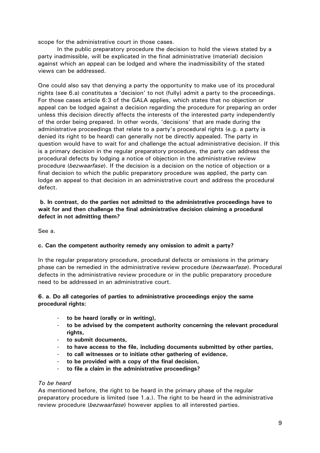scope for the administrative court in those cases.

 In the public preparatory procedure the decision to hold the views stated by a party inadmissible, will be explicated in the final administrative (material) decision against which an appeal can be lodged and where the inadmissibility of the stated views can be addressed.

One could also say that denying a party the opportunity to make use of its procedural rights (see 6.a) constitutes a 'decision' to not (fully) admit a party to the proceedings. For those cases article 6:3 of the GALA applies, which states that no objection or appeal can be lodged against a decision regarding the procedure for preparing an order unless this decision directly affects the interests of the interested party independently of the order being prepared. In other words, 'decisions' that are made during the administrative proceedings that relate to a party's procedural rights (e.g. a party is denied its right to be heard) can generally not be directly appealed. The party in question would have to wait for and challenge the actual administrative decision. If this is a primary decision in the regular preparatory procedure, the party can address the procedural defects by lodging a notice of objection in the administrative review procedure (bezwaarfase). If the decision is a decision on the notice of objection or a final decision to which the public preparatory procedure was applied, the party can lodge an appeal to that decision in an administrative court and address the procedural defect.

#### b. In contrast, do the parties not admitted to the administrative proceedings have to wait for and then challenge the final administrative decision claiming a procedural defect in not admitting them?

See a.

#### c. Can the competent authority remedy any omission to admit a party?

In the regular preparatory procedure, procedural defects or omissions in the primary phase can be remedied in the administrative review procedure (bezwaarfase). Procedural defects in the administrative review procedure or in the public preparatory procedure need to be addressed in an administrative court.

#### 6. a. Do all categories of parties to administrative proceedings enjoy the same procedural rights:

- to be heard (orally or in writing),
- to be advised by the competent authority concerning the relevant procedural rights,
- to submit documents,
- to have access to the file, including documents submitted by other parties,
- to call witnesses or to initiate other gathering of evidence,
- to be provided with a copy of the final decision,
- to file a claim in the administrative proceedings?

#### To be heard

As mentioned before, the right to be heard in the primary phase of the regular preparatory procedure is limited (see 1.a.). The right to be heard in the administrative review procedure (bezwaarfase) however applies to all interested parties.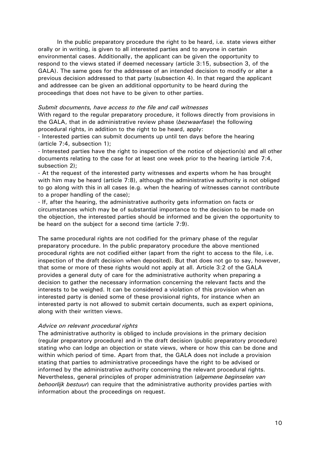In the public preparatory procedure the right to be heard, i.e. state views either orally or in writing, is given to all interested parties and to anyone in certain environmental cases. Additionally, the applicant can be given the opportunity to respond to the views stated if deemed necessary (article 3:15, subsection 3, of the GALA). The same goes for the addressee of an intended decision to modify or alter a previous decision addressed to that party (subsection 4). In that regard the applicant and addressee can be given an additional opportunity to be heard during the proceedings that does not have to be given to other parties.

#### Submit documents, have access to the file and call witnesses

With regard to the regular preparatory procedure, it follows directly from provisions in the GALA, that in de administrative review phase (bezwaarfase) the following procedural rights, in addition to the right to be heard, apply:

- Interested parties can submit documents up until ten days before the hearing (article 7:4, subsection 1);

- Interested parties have the right to inspection of the notice of objection(s) and all other documents relating to the case for at least one week prior to the hearing (article 7:4, subsection 2);

- At the request of the interested party witnesses and experts whom he has brought with him may be heard (article 7:8), although the administrative authority is not obliged to go along with this in all cases (e.g. when the hearing of witnesses cannot contribute to a proper handling of the case);

- If, after the hearing, the administrative authority gets information on facts or circumstances which may be of substantial importance to the decision to be made on the objection, the interested parties should be informed and be given the opportunity to be heard on the subject for a second time (article 7:9).

The same procedural rights are not codified for the primary phase of the regular preparatory procedure. In the public preparatory procedure the above mentioned procedural rights are not codified either (apart from the right to access to the file, i.e. inspection of the draft decision when deposited). But that does not go to say, however, that some or more of these rights would not apply at all. Article 3:2 of the GALA provides a general duty of care for the administrative authority when preparing a decision to gather the necessary information concerning the relevant facts and the interests to be weighed. It can be considered a violation of this provision when an interested party is denied some of these provisional rights, for instance when an interested party is not allowed to submit certain documents, such as expert opinions, along with their written views.

#### Advice on relevant procedural rights

The administrative authority is obliged to include provisions in the primary decision (regular preparatory procedure) and in the draft decision (public preparatory procedure) stating who can lodge an objection or state views, where or how this can be done and within which period of time. Apart from that, the GALA does not include a provision stating that parties to administrative proceedings have the right to be advised or informed by the administrative authority concerning the relevant procedural rights. Nevertheless, general principles of proper administration (algemene beginselen van behoorlijk bestuur) can require that the administrative authority provides parties with information about the proceedings on request.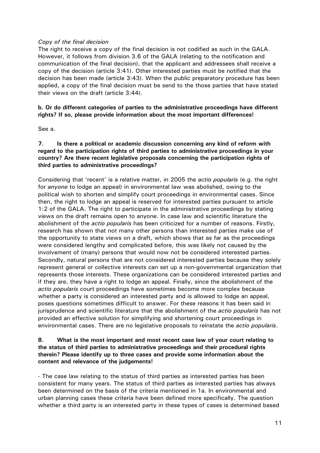#### Copy of the final decision

The right to receive a copy of the final decision is not codified as such in the GALA. However, it follows from division 3.6 of the GALA (relating to the notification and communication of the final decision), that the applicant and addressees shall receive a copy of the decision (article 3:41). Other interested parties must be notified that the decision has been made (article 3:43). When the public preparatory procedure has been applied, a copy of the final decision must be send to the those parties that have stated their views on the draft (article 3:44).

#### b. Or do different categories of parties to the administrative proceedings have different rights? If so, please provide information about the most important differences!

See a.

7. Is there a political or academic discussion concerning any kind of reform with regard to the participation rights of third parties to administrative proceedings in your country? Are there recent legislative proposals concerning the participation rights of third parties to administrative proceedings?

Considering that 'recent' is a relative matter, in 2005 the *actio popularis* (e.g. the right for *anyone* to lodge an appeal) in environmental law was abolished, owing to the political wish to shorten and simplify court proceedings in environmental cases. Since then, the right to lodge an appeal is reserved for interested parties pursuant to article 1:2 of the GALA. The right to participate in the administrative proceedings by stating views on the draft remains open to anyone. In case law and scientific literature the abolishment of the *actio popularis* has been criticized for a number of reasons. Firstly, research has shown that not many other persons than interested parties make use of the opportunity to state views on a draft, which shows that as far as the proceedings were considered lengthy and complicated before, this was likely not caused by the involvement of (many) persons that would now not be considered interested parties. Secondly, natural persons that are not considered interested parties because they solely represent general or collective interests can set up a non-governmental organization that represents those interests. These organizations can be considered interested parties and if they are, they have a right to lodge an appeal. Finally, since the abolishment of the actio popularis court proceedings have sometimes become more complex because whether a party is considered an interested party and is allowed to lodge an appeal, poses questions sometimes difficult to answer. For these reasons it has been said in jurisprudence and scientific literature that the abolishment of the *actio popularis* has not provided an effective solution for simplifying and shortening court proceedings in environmental cases. There are no legislative proposals to reinstate the *actio popularis*.

#### 8. What is the most important and most recent case law of your court relating to the status of third parties to administrative proceedings and their procedural rights therein? Please identify up to three cases and provide some information about the content and relevance of the judgements!

- The case law relating to the status of third parties as interested parties has been consistent for many years. The status of third parties as interested parties has always been determined on the basis of the criteria mentioned in 1a. In environmental and urban planning cases these criteria have been defined more specifically. The question whether a third party is an interested party in these types of cases is determined based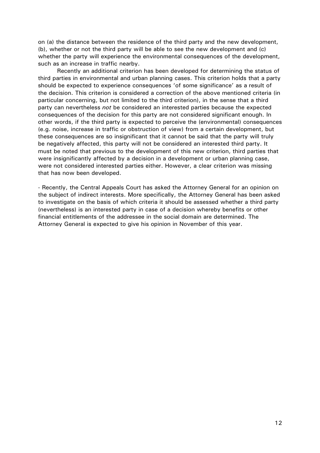on (a) the distance between the residence of the third party and the new development, (b), whether or not the third party will be able to see the new development and (c) whether the party will experience the environmental consequences of the development, such as an increase in traffic nearby.

 Recently an additional criterion has been developed for determining the status of third parties in environmental and urban planning cases. This criterion holds that a party should be expected to experience consequences 'of some significance' as a result of the decision. This criterion is considered a correction of the above mentioned criteria (in particular concerning, but not limited to the third criterion), in the sense that a third party can nevertheless not be considered an interested parties because the expected consequences of the decision for this party are not considered significant enough. In other words, if the third party is expected to perceive the (environmental) consequences (e.g. noise, increase in traffic or obstruction of view) from a certain development, but these consequences are so insignificant that it cannot be said that the party will truly be negatively affected, this party will not be considered an interested third party. It must be noted that previous to the development of this new criterion, third parties that were insignificantly affected by a decision in a development or urban planning case, were not considered interested parties either. However, a clear criterion was missing that has now been developed.

- Recently, the Central Appeals Court has asked the Attorney General for an opinion on the subject of indirect interests. More specifically, the Attorney General has been asked to investigate on the basis of which criteria it should be assessed whether a third party (nevertheless) is an interested party in case of a decision whereby benefits or other financial entitlements of the addressee in the social domain are determined. The Attorney General is expected to give his opinion in November of this year.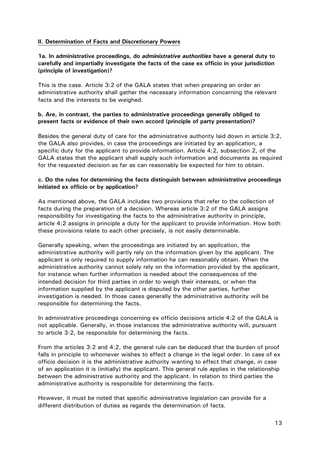#### II. Determination of Facts and Discretionary Powers

#### 1a. In administrative proceedings, do *administrative authorities* have a general duty to carefully and impartially investigate the facts of the case ex officio in your jurisdiction (principle of investigation)?

This is the case. Article 3:2 of the GALA states that when preparing an order an administrative authority shall gather the necessary information concerning the relevant facts and the interests to be weighed.

#### b. Are, in contrast, the parties to administrative proceedings generally obliged to present facts or evidence of their own accord (principle of party presentation)?

Besides the general duty of care for the administrative authority laid down in article 3:2, the GALA also provides, in case the proceedings are initiated by an application, a specific duty for the applicant to provide information. Article 4:2, subsection 2, of the GALA states that the applicant shall supply such information and documents as required for the requested decision as far as can reasonably be expected for him to obtain.

#### c. Do the rules for determining the facts distinguish between administrative proceedings initiated ex officio or by application?

As mentioned above, the GALA includes two provisions that refer to the collection of facts during the preparation of a decision. Whereas article 3:2 of the GALA assigns responsibility for investigating the facts to the administrative authority in principle, article 4:2 assigns in principle a duty for the applicant to provide information. How both these provisions relate to each other precisely, is not easily determinable.

Generally speaking, when the proceedings are initiated by an application, the administrative authority will partly rely on the information given by the applicant. The applicant is only required to supply information he can reasonably obtain. When the administrative authority cannot solely rely on the information provided by the applicant, for instance when further information is needed about the consequences of the intended decision for third parties in order to weigh their interests, or when the information supplied by the applicant is disputed by the other parties, further investigation is needed. In those cases generally the administrative authority will be responsible for determining the facts.

In administrative proceedings concerning ex officio decisions article 4:2 of the GALA is not applicable. Generally, in those instances the administrative authority will, pursuant to article 3:2, be responsible for determining the facts.

From the articles 3:2 and 4:2, the general rule can be deduced that the burden of proof falls in principle to whomever wishes to effect a change in the legal order. In case of ex officio decision it is the administrative authority wanting to effect that change, in case of an application it is (initially) the applicant. This general rule applies in the relationship between the administrative authority and the applicant. In relation to third parties the administrative authority is responsible for determining the facts.

However, it must be noted that specific administrative legislation can provide for a different distribution of duties as regards the determination of facts.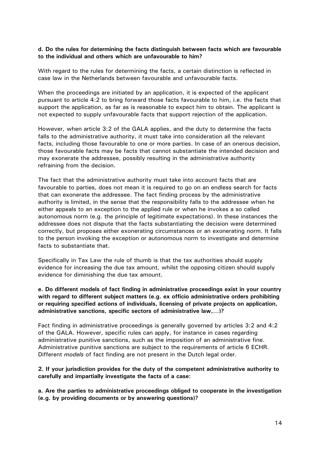#### d. Do the rules for determining the facts distinguish between facts which are favourable to the individual and others which are unfavourable to him?

With regard to the rules for determining the facts, a certain distinction is reflected in case law in the Netherlands between favourable and unfavourable facts.

When the proceedings are initiated by an application, it is expected of the applicant pursuant to article 4:2 to bring forward those facts favourable to him, i.e. the facts that support the application, as far as is reasonable to expect him to obtain. The applicant is not expected to supply unfavourable facts that support rejection of the application.

However, when article 3:2 of the GALA applies, and the duty to determine the facts falls to the administrative authority, it must take into consideration all the relevant facts, including those favourable to one or more parties. In case of an onerous decision, those favourable facts may be facts that cannot substantiate the intended decision and may exonerate the addressee, possibly resulting in the administrative authority refraining from the decision.

The fact that the administrative authority must take into account facts that are favourable to parties, does not mean it is required to go on an endless search for facts that can exonerate the addressee. The fact finding process by the administrative authority is limited, in the sense that the responsibility falls to the addressee when he either appeals to an exception to the applied rule or when he invokes a so called autonomous norm (e.g. the principle of legitimate expectations). In these instances the addressee does not dispute that the facts substantiating the decision were determined correctly, but proposes either exonerating circumstances or an exonerating norm. It falls to the person invoking the exception or autonomous norm to investigate and determine facts to substantiate that.

Specifically in Tax Law the rule of thumb is that the tax authorities should supply evidence for increasing the due tax amount, whilst the opposing citizen should supply evidence for diminishing the due tax amount.

e. Do different models of fact finding in administrative proceedings exist in your country with regard to different subject matters (e.g. ex officio administrative orders prohibiting or requiring specified actions of individuals, licensing of private projects on application, administrative sanctions, specific sectors of administrative law,…)?

Fact finding in administrative proceedings is generally governed by articles 3:2 and 4:2 of the GALA. However, specific rules can apply, for instance in cases regarding administrative punitive sanctions, such as the imposition of an administrative fine. Administrative punitive sanctions are subject to the requirements of article 6 ECHR. Different *models* of fact finding are not present in the Dutch legal order.

2. If your jurisdiction provides for the duty of the competent administrative authority to carefully and impartially investigate the facts of a case:

a. Are the parties to administrative proceedings obliged to cooperate in the investigation (e.g. by providing documents or by answering questions)?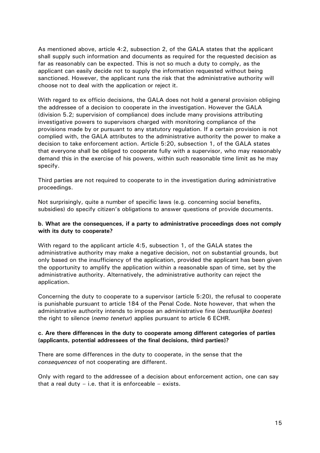As mentioned above, article 4:2, subsection 2, of the GALA states that the applicant shall supply such information and documents as required for the requested decision as far as reasonably can be expected. This is not so much a duty to comply, as the applicant can easily decide not to supply the information requested without being sanctioned. However, the applicant runs the risk that the administrative authority will choose not to deal with the application or reject it.

With regard to ex officio decisions, the GALA does not hold a general provision obliging the addressee of a decision to cooperate in the investigation. However the GALA (division 5.2; supervision of compliance) does include many provisions attributing investigative powers to supervisors charged with monitoring compliance of the provisions made by or pursuant to any statutory regulation. If a certain provision is not complied with, the GALA attributes to the administrative authority the power to make a decision to take enforcement action. Article 5:20, subsection 1, of the GALA states that everyone shall be obliged to cooperate fully with a supervisor, who may reasonably demand this in the exercise of his powers, within such reasonable time limit as he may specify.

Third parties are not required to cooperate to in the investigation during administrative proceedings.

Not surprisingly, quite a number of specific laws (e.g. concerning social benefits, subsidies) do specify citizen's obligations to answer questions of provide documents.

#### b. What are the consequences, if a party to administrative proceedings does not comply with its duty to cooperate?

With regard to the applicant article 4:5, subsection 1, of the GALA states the administrative authority may make a negative decision, not on substantial grounds, but only based on the insufficiency of the application, provided the applicant has been given the opportunity to amplify the application within a reasonable span of time, set by the administrative authority. Alternatively, the administrative authority can reject the application.

Concerning the duty to cooperate to a supervisor (article 5:20), the refusal to cooperate is punishable pursuant to article 184 of the Penal Code. Note however, that when the administrative authority intends to impose an administrative fine (bestuurlijke boetes) the right to silence (*nemo tenetur*) applies pursuant to article 6 ECHR.

#### c. Are there differences in the duty to cooperate among different categories of parties (applicants, potential addressees of the final decisions, third parties)?

There are some differences in the duty to cooperate, in the sense that the consequences of not cooperating are different.

Only with regard to the addressee of a decision about enforcement action, one can say that a real duty  $-$  i.e. that it is enforceable  $-$  exists.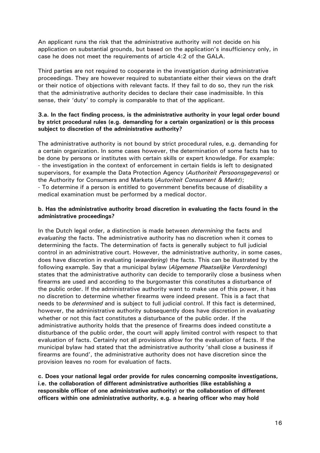An applicant runs the risk that the administrative authority will not decide on his application on substantial grounds, but based on the application's insufficiency only, in case he does not meet the requirements of article 4:2 of the GALA.

Third parties are not required to cooperate in the investigation during administrative proceedings. They are however required to substantiate either their views on the draft or their notice of objections with relevant facts. If they fail to do so, they run the risk that the administrative authority decides to declare their case inadmissible. In this sense, their 'duty' to comply is comparable to that of the applicant.

#### 3.a. In the fact finding process, is the administrative authority in your legal order bound by strict procedural rules (e.g. demanding for a certain organization) or is this process subject to discretion of the administrative authority?

The administrative authority is not bound by strict procedural rules, e.g. demanding for a certain organization. In some cases however, the determination of some facts has to be done by persons or institutes with certain skills or expert knowledge. For example: - the investigation in the context of enforcement in certain fields is left to designated supervisors, for example the Data Protection Agency (Authoriteit Persoonsgegevens) or the Authority for Consumers and Markets (Autoriteit Consument & Markt); - To determine if a person is entitled to government benefits because of disability a medical examination must be performed by a medical doctor.

#### b. Has the administrative authority broad discretion in evaluating the facts found in the administrative proceedings?

In the Dutch legal order, a distinction is made between *determining* the facts and evaluating the facts. The administrative authority has no discretion when it comes to determining the facts. The determination of facts is generally subject to full judicial control in an administrative court. However, the administrative authority, in some cases, does have discretion in evaluating (waardering) the facts. This can be illustrated by the following example. Say that a municipal bylaw (Algemene Plaatselijke Verordening) states that the administrative authority can decide to temporarily close a business when firearms are used and according to the burgomaster this constitutes a disturbance of the public order. If the administrative authority want to make use of this power, it has no discretion to determine whether firearms were indeed present. This is a fact that needs to be *determined* and is subject to full judicial control. If this fact is determined, however, the administrative authority subsequently does have discretion in *evaluating* whether or not this fact constitutes a disturbance of the public order. If the administrative authority holds that the presence of firearms does indeed constitute a disturbance of the public order, the court will apply limited control with respect to that evaluation of facts. Certainly not all provisions allow for the evaluation of facts. If the municipal bylaw had stated that the administrative authority 'shall close a business if firearms are found', the administrative authority does not have discretion since the provision leaves no room for evaluation of facts.

c. Does your national legal order provide for rules concerning composite investigations, i.e. the collaboration of different administrative authorities (like establishing a responsible officer of one administrative authority) or the collaboration of different officers within one administrative authority, e.g. a hearing officer who may hold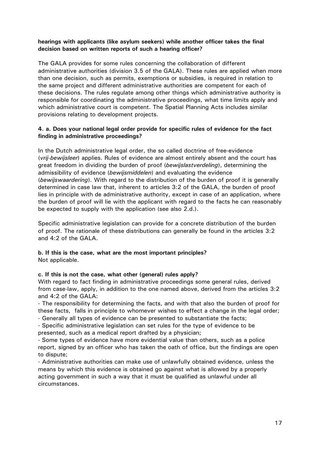#### hearings with applicants (like asylum seekers) while another officer takes the final decision based on written reports of such a hearing officer?

The GALA provides for some rules concerning the collaboration of different administrative authorities (division 3.5 of the GALA). These rules are applied when more than one decision, such as permits, exemptions or subsidies, is required in relation to the same project and different administrative authorities are competent for each of these decisions. The rules regulate among other things which administrative authority is responsible for coordinating the administrative proceedings, what time limits apply and which administrative court is competent. The Spatial Planning Acts includes similar provisions relating to development projects.

#### 4. a. Does your national legal order provide for specific rules of evidence for the fact finding in administrative proceedings?

In the Dutch administrative legal order, the so called doctrine of free-evidence (*vrij-bewijsleer*) applies. Rules of evidence are almost entirely absent and the court has great freedom in dividing the burden of proof (bewijslastverdeling), determining the admissibility of evidence (bewijsmiddelen) and evaluating the evidence (bewijswaardering). With regard to the distribution of the burden of proof it is generally determined in case law that, inherent to articles 3:2 of the GALA, the burden of proof lies in principle with de administrative authority, except in case of an application, where the burden of proof will lie with the applicant with regard to the facts he can reasonably be expected to supply with the application (see also 2.d.).

Specific administrative legislation can provide for a concrete distribution of the burden of proof. The rationale of these distributions can generally be found in the articles 3:2 and 4:2 of the GALA.

#### b. If this is the case, what are the most important principles? Not applicable.

#### c. If this is not the case, what other (general) rules apply?

With regard to fact finding in administrative proceedings some general rules, derived from case-law, apply, in addition to the one named above, derived from the articles 3:2 and 4:2 of the GALA:

- The responsibility for determining the facts, and with that also the burden of proof for these facts, falls in principle to whomever wishes to effect a change in the legal order; - Generally all types of evidence can be presented to substantiate the facts;

- Specific administrative legislation can set rules for the type of evidence to be presented, such as a medical report drafted by a physician;

- Some types of evidence have more evidential value than others, such as a police report, signed by an officer who has taken the oath of office, but the findings are open to dispute;

- Administrative authorities can make use of unlawfully obtained evidence, unless the means by which this evidence is obtained go against what is allowed by a properly acting government in such a way that it must be qualified as unlawful under all circumstances.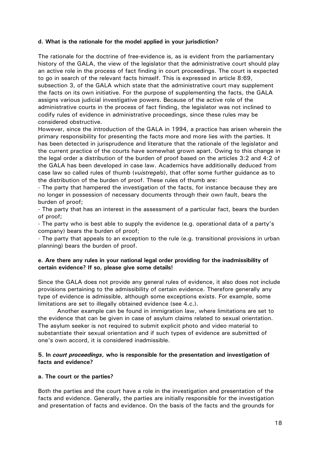#### d. What is the rationale for the model applied in your jurisdiction?

The rationale for the doctrine of free-evidence is, as is evident from the parliamentary history of the GALA, the view of the legislator that the administrative court should play an active role in the process of fact finding in court proceedings. The court is expected to go in search of the relevant facts himself. This is expressed in article 8:69, subsection 3, of the GALA which state that the administrative court may supplement the facts on its own initiative. For the purpose of supplementing the facts, the GALA assigns various judicial investigative powers. Because of the active role of the administrative courts in the process of fact finding, the legislator was not inclined to codify rules of evidence in administrative proceedings, since these rules may be considered obstructive.

However, since the introduction of the GALA in 1994, a practice has arisen wherein the primary responsibility for presenting the facts more and more lies with the parties. It has been detected in jurisprudence and literature that the rationale of the legislator and the current practice of the courts have somewhat grown apart. Owing to this change in the legal order a distribution of the burden of proof based on the articles 3:2 and 4:2 of the GALA has been developed in case law. Academics have additionally deduced from case law so called rules of thumb (vuistregels), that offer some further guidance as to the distribution of the burden of proof. These rules of thumb are:

- The party that hampered the investigation of the facts, for instance because they are no longer in possession of necessary documents through their own fault, bears the burden of proof;

- The party that has an interest in the assessment of a particular fact, bears the burden of proof;

- The party who is best able to supply the evidence (e.g. operational data of a party's company) bears the burden of proof;

- The party that appeals to an exception to the rule (e.g. transitional provisions in urban planning) bears the burden of proof.

#### e. Are there any rules in your national legal order providing for the inadmissibility of certain evidence? If so, please give some details!

Since the GALA does not provide any general rules of evidence, it also does not include provisions pertaining to the admissibility of certain evidence. Therefore generally any type of evidence is admissible, although some exceptions exists. For example, some limitations are set to illegally obtained evidence (see 4.c.).

 Another example can be found in immigration law, where limitations are set to the evidence that can be given in case of asylum claims related to sexual orientation. The asylum seeker is not required to submit explicit photo and video material to substantiate their sexual orientation and if such types of evidence are submitted of one's own accord, it is considered inadmissible.

#### 5. In court proceedings, who is responsible for the presentation and investigation of facts and evidence?

#### a. The court or the parties?

Both the parties and the court have a role in the investigation and presentation of the facts and evidence. Generally, the parties are initially responsible for the investigation and presentation of facts and evidence. On the basis of the facts and the grounds for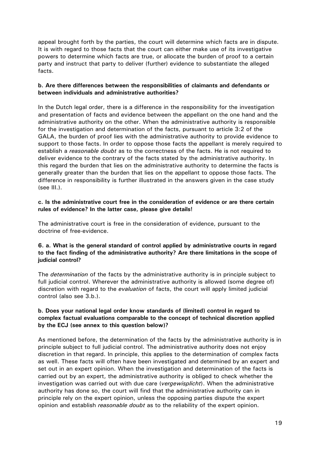appeal brought forth by the parties, the court will determine which facts are in dispute. It is with regard to those facts that the court can either make use of its investigative powers to determine which facts are true, or allocate the burden of proof to a certain party and instruct that party to deliver (further) evidence to substantiate the alleged facts.

#### b. Are there differences between the responsibilities of claimants and defendants or between individuals and administrative authorities?

In the Dutch legal order, there is a difference in the responsibility for the investigation and presentation of facts and evidence between the appellant on the one hand and the administrative authority on the other. When the administrative authority is responsible for the investigation and determination of the facts, pursuant to article 3:2 of the GALA, the burden of proof lies with the administrative authority to provide evidence to support to those facts. In order to oppose those facts the appellant is merely required to establish a *reasonable doubt* as to the correctness of the facts. He is not required to deliver evidence to the contrary of the facts stated by the administrative authority. In this regard the burden that lies on the administrative authority to determine the facts is generally greater than the burden that lies on the appellant to oppose those facts. The difference in responsibility is further illustrated in the answers given in the case study (see III.).

#### c. Is the administrative court free in the consideration of evidence or are there certain rules of evidence? In the latter case, please give details!

The administrative court is free in the consideration of evidence, pursuant to the doctrine of free-evidence.

#### 6. a. What is the general standard of control applied by administrative courts in regard to the fact finding of the administrative authority? Are there limitations in the scope of judicial control?

The *determination* of the facts by the administrative authority is in principle subject to full judicial control. Wherever the administrative authority is allowed (some degree of) discretion with regard to the *evaluation* of facts, the court will apply limited judicial control (also see 3.b.).

#### b. Does your national legal order know standards of (limited) control in regard to complex factual evaluations comparable to the concept of technical discretion applied by the ECJ (see annex to this question below)?

As mentioned before, the determination of the facts by the administrative authority is in principle subject to full judicial control. The administrative authority does not enjoy discretion in that regard. In principle, this applies to the determination of complex facts as well. These facts will often have been investigated and determined by an expert and set out in an expert opinion. When the investigation and determination of the facts is carried out by an expert, the administrative authority is obliged to check whether the investigation was carried out with due care (vergewisplicht). When the administrative authority has done so, the court will find that the administrative authority can in principle rely on the expert opinion, unless the opposing parties dispute the expert opinion and establish *reasonable doubt* as to the reliability of the expert opinion.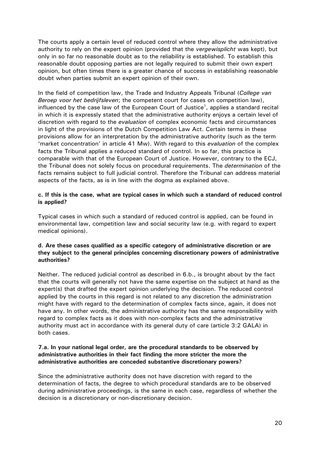The courts apply a certain level of reduced control where they allow the administrative authority to rely on the expert opinion (provided that the vergewisplicht was kept), but only in so far no reasonable doubt as to the reliability is established. To establish this reasonable doubt opposing parties are not legally required to submit their own expert opinion, but often times there is a greater chance of success in establishing reasonable doubt when parties submit an expert opinion of their own.

In the field of competition law, the Trade and Industry Appeals Tribunal (College van Beroep voor het bedrijfsleven; the competent court for cases on competition law), influenced by the case law of the European Court of Justice<sup>1</sup>, applies a standard recital in which it is expressly stated that the administrative authority enjoys a certain level of discretion with regard to the *evaluation* of complex economic facts and circumstances in light of the provisions of the Dutch Competition Law Act. Certain terms in these provisions allow for an interpretation by the administrative authority (such as the term 'market concentration' in article 41 Mw). With regard to this evaluation of the complex facts the Tribunal applies a reduced standard of control. In so far, this practice is comparable with that of the European Court of Justice. However, contrary to the ECJ, the Tribunal does not solely focus on procedural requirements. The *determination* of the facts remains subject to full judicial control. Therefore the Tribunal can address material aspects of the facts, as is in line with the dogma as explained above.

#### c. If this is the case, what are typical cases in which such a standard of reduced control is applied?

Typical cases in which such a standard of reduced control is applied, can be found in environmental law, competition law and social security law (e.g. with regard to expert medical opinions).

#### d. Are these cases qualified as a specific category of administrative discretion or are they subject to the general principles concerning discretionary powers of administrative authorities?

Neither. The reduced judicial control as described in 6.b., is brought about by the fact that the courts will generally not have the same expertise on the subject at hand as the expert(s) that drafted the expert opinion underlying the decision. The reduced control applied by the courts in this regard is not related to any discretion the administration might have with regard to the determination of complex facts since, again, it does not have any. In other words, the administrative authority has the same responsibility with regard to complex facts as it does with non-complex facts and the administrative authority must act in accordance with its general duty of care (article 3:2 GALA) in both cases.

#### 7.a. In your national legal order, are the procedural standards to be observed by administrative authorities in their fact finding the more stricter the more the administrative authorities are conceded substantive discretionary powers?

Since the administrative authority does not have discretion with regard to the determination of facts, the degree to which procedural standards are to be observed during administrative proceedings, is the same in each case, regardless of whether the decision is a discretionary or non-discretionary decision.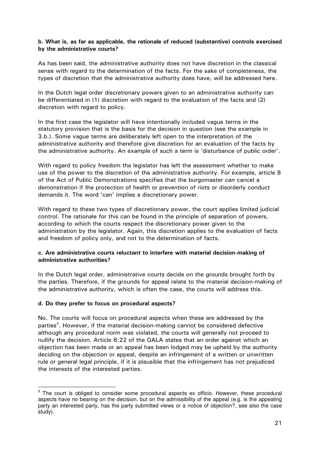#### b. What is, as far as applicable, the rationale of reduced (substantive) controls exercised by the administrative courts?

As has been said, the administrative authority does not have discretion in the classical sense with regard to the determination of the facts. For the sake of completeness, the types of discretion that the administrative authority does have, will be addressed here.

In the Dutch legal order discretionary powers given to an administrative authority can be differentiated in (1) discretion with regard to the evaluation of the facts and (2) discretion with regard to policy.

In the first case the legislator will have intentionally included vague terms in the statutory provision that is the basis for the decision in question (see the example in 3.b.). Some vague terms are deliberately left open to the interpretation of the administrative authority and therefore give discretion for an evaluation of the facts by the administrative authority. An example of such a term is 'disturbance of public order'.

With regard to policy freedom the legislator has left the assessment whether to make use of the power to the discretion of the administrative authority. For example, article 8 of the Act of Public Demonstrations specifies that the burgomaster can cancel a demonstration if the protection of health or prevention of riots or disorderly conduct demands it. The word 'can' implies a discretionary power.

With regard to these two types of discretionary power, the court applies limited judicial control. The rationale for this can be found in the principle of separation of powers, according to which the courts respect the discretionary power given to the administration by the legislator. Again, this discretion applies to the evaluation of facts and freedom of policy only, and not to the determination of facts.

#### c. Are administrative courts reluctant to interfere with material decision-making of administrative authorities?

In the Dutch legal order, administrative courts decide on the grounds brought forth by the parties. Therefore, if the grounds for appeal relate to the material decision-making of the administrative authority, which is often the case, the courts will address this.

#### d. Do they prefer to focus on procedural aspects?

j

No. The courts will focus on procedural aspects when these are addressed by the parties<sup>3</sup>. However, if the material decision-making cannot be considered defective although any procedural norm was violated, the courts will generally not proceed to nullify the decision. Article 6:22 of the GALA states that an order against which an objection has been made or an appeal has been lodged may be upheld by the authority deciding on the objection or appeal, despite an infringement of a written or unwritten rule or general legal principle, if it is plausible that the infringement has not prejudiced the interests of the interested parties.

 $3$  The court is obliged to consider some procedural aspects ex officio. However, these procedural aspects have no bearing on the decision, but on the admissibility of the appeal (e.g. is the appealing party an interested party, has the party submitted views or a notice of objection?, see also the case study).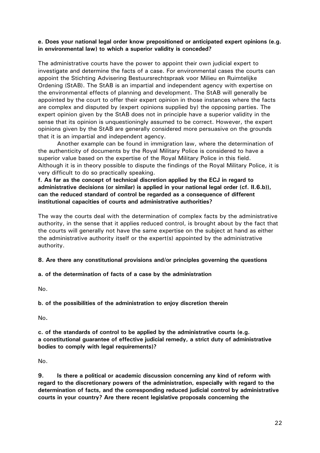#### e. Does your national legal order know prepositioned or anticipated expert opinions (e.g. in environmental law) to which a superior validity is conceded?

The administrative courts have the power to appoint their own judicial expert to investigate and determine the facts of a case. For environmental cases the courts can appoint the Stichting Advisering Bestuursrechtspraak voor Milieu en Ruimtelijke Ordening (StAB). The StAB is an impartial and independent agency with expertise on the environmental effects of planning and development. The StAB will generally be appointed by the court to offer their expert opinion in those instances where the facts are complex and disputed by (expert opinions supplied by) the opposing parties. The expert opinion given by the StAB does not in principle have a superior validity in the sense that its opinion is unquestioningly assumed to be correct. However, the expert opinions given by the StAB are generally considered more persuasive on the grounds that it is an impartial and independent agency.

 Another example can be found in immigration law, where the determination of the authenticity of documents by the Royal Military Police is considered to have a superior value based on the expertise of the Royal Military Police in this field. Although it is in theory possible to dispute the findings of the Royal Military Police, it is very difficult to do so practically speaking.

f. As far as the concept of technical discretion applied by the ECJ in regard to administrative decisions (or similar) is applied in your national legal order (cf. II.6.b)), can the reduced standard of control be regarded as a consequence of different institutional capacities of courts and administrative authorities?

The way the courts deal with the determination of complex facts by the administrative authority, in the sense that it applies reduced control, is brought about by the fact that the courts will generally not have the same expertise on the subject at hand as either the administrative authority itself or the expert(s) appointed by the administrative authority.

#### 8. Are there any constitutional provisions and/or principles governing the questions

#### a. of the determination of facts of a case by the administration

No.

b. of the possibilities of the administration to enjoy discretion therein

No.

c. of the standards of control to be applied by the administrative courts (e.g. a constitutional guarantee of effective judicial remedy, a strict duty of administrative bodies to comply with legal requirements)?

No.

9. Is there a political or academic discussion concerning any kind of reform with regard to the discretionary powers of the administration, especially with regard to the determination of facts, and the corresponding reduced judicial control by administrative courts in your country? Are there recent legislative proposals concerning the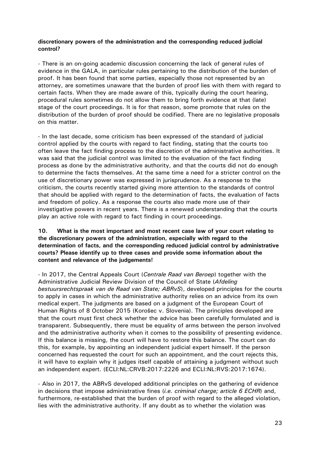#### discretionary powers of the administration and the corresponding reduced judicial control?

- There is an on-going academic discussion concerning the lack of general rules of evidence in the GALA, in particular rules pertaining to the distribution of the burden of proof. It has been found that some parties, especially those not represented by an attorney, are sometimes unaware that the burden of proof lies with them with regard to certain facts. When they are made aware of this, typically during the court hearing, procedural rules sometimes do not allow them to bring forth evidence at that (late) stage of the court proceedings. It is for that reason, some promote that rules on the distribution of the burden of proof should be codified. There are no legislative proposals on this matter.

- In the last decade, some criticism has been expressed of the standard of judicial control applied by the courts with regard to fact finding, stating that the courts too often leave the fact finding process to the discretion of the administrative authorities. It was said that the judicial control was limited to the evaluation of the fact finding process as done by the administrative authority, and that the courts did not do enough to determine the facts themselves. At the same time a need for a stricter control on the use of discretionary power was expressed in jurisprudence. As a response to the criticism, the courts recently started giving more attention to the standards of control that should be applied with regard to the determination of facts, the evaluation of facts and freedom of policy. As a response the courts also made more use of their investigative powers in recent years. There is a renewed understanding that the courts play an active role with regard to fact finding in court proceedings.

#### 10. What is the most important and most recent case law of your court relating to the discretionary powers of the administration, especially with regard to the determination of facts, and the corresponding reduced judicial control by administrative courts? Please identify up to three cases and provide some information about the content and relevance of the judgements!

- In 2017, the Central Appeals Court (Centrale Raad van Beroep) together with the Administrative Judicial Review Division of the Council of State (Afdeling bestuursrechtspraak van de Raad van State; ABRvS), developed principles for the courts to apply in cases in which the administrative authority relies on an advice from its own medical expert. The judgments are based on a judgment of the European Court of Human Rights of 8 October 2015 (Korošec v. Slovenia). The principles developed are that the court must first check whether the advice has been carefully formulated and is transparent. Subsequently, there must be equality of arms between the person involved and the administrative authority when it comes to the possibility of presenting evidence. If this balance is missing, the court will have to restore this balance. The court can do this, for example, by appointing an independent judicial expert himself. If the person concerned has requested the court for such an appointment, and the court rejects this, it will have to explain why it judges itself capable of attaining a judgment without such an independent expert. (ECLI:NL:CRVB:2017:2226 and ECLI:NL:RVS:2017:1674).

- Also in 2017, the ABRvS developed additional principles on the gathering of evidence in decisions that impose administrative fines  $(i.e.$  criminal charge; article 6 ECHR) and, furthermore, re-established that the burden of proof with regard to the alleged violation, lies with the administrative authority. If any doubt as to whether the violation was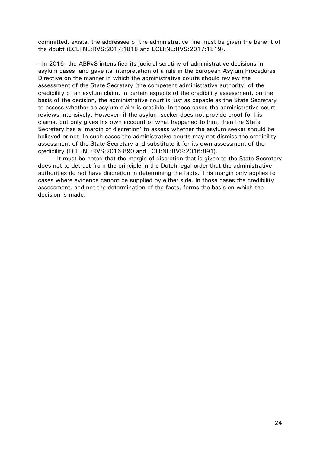committed, exists, the addressee of the administrative fine must be given the benefit of the doubt (ECLI:NL:RVS:2017:1818 and ECLI:NL:RVS:2017:1819).

- In 2016, the ABRvS intensified its judicial scrutiny of administrative decisions in asylum cases and gave its interpretation of a rule in the European Asylum Procedures Directive on the manner in which the administrative courts should review the assessment of the State Secretary (the competent administrative authority) of the credibility of an asylum claim. In certain aspects of the credibility assessment, on the basis of the decision, the administrative court is just as capable as the State Secretary to assess whether an asylum claim is credible. In those cases the administrative court reviews intensively. However, if the asylum seeker does not provide proof for his claims, but only gives his own account of what happened to him, then the State Secretary has a 'margin of discretion' to assess whether the asylum seeker should be believed or not. In such cases the administrative courts may not dismiss the credibility assessment of the State Secretary and substitute it for its own assessment of the credibility (ECLI:NL:RVS:2016:890 and ECLI:NL:RVS:2016:891).

 It must be noted that the margin of discretion that is given to the State Secretary does not to detract from the principle in the Dutch legal order that the administrative authorities do not have discretion in determining the facts. This margin only applies to cases where evidence cannot be supplied by either side. In those cases the credibility assessment, and not the determination of the facts, forms the basis on which the decision is made.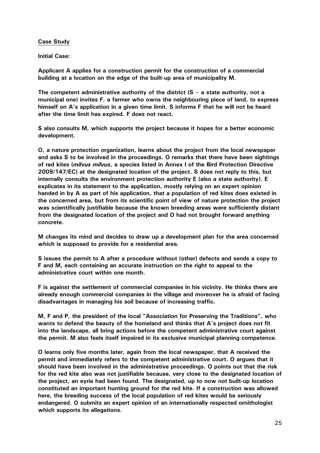#### Case Study

Initial Case:

Applicant A applies for a construction permit for the construction of a commercial building at a location on the edge of the built-up area of municipality M.

The competent administrative authority of the district  $(S - a$  state authority, not a municipal one) invites F, a farmer who owns the neighbouring piece of land, to express himself on A's application in a given time limit. S informs F that he will not be heard after the time limit has expired. F does not react.

S also consults M, which supports the project because it hopes for a better economic development.

O, a nature protection organization, learns about the project from the local newspaper and asks S to be involved in the proceedings. O remarks that there have been sightings of red kites (milvus milvus, a species listed in Annex I of the Bird Protection Directive 2009/147/EC) at the designated location of the project. S does not reply to this, but internally consults the environment protection authority E (also a state authority). E explicates in its statement to the application, mostly relying on an expert opinion handed in by A as part of his application, that a population of red kites does existed in the concerned area, but from its scientific point of view of nature protection the project was scientifically justifiable because the known breeding areas were sufficiently distant from the designated location of the project and O had not brought forward anything concrete.

M changes its mind and decides to draw up a development plan for the area concerned which is supposed to provide for a residential area.

S issues the permit to A after a procedure without (other) defects and sends a copy to F and M, each containing an accurate instruction on the right to appeal to the administrative court within one month.

F is against the settlement of commercial companies in his vicinity. He thinks there are already enough commercial companies in the village and moreover he is afraid of facing disadvantages in managing his soil because of increasing traffic.

M, F and P, the president of the local "Association for Preserving the Traditions", who wants to defend the beauty of the homeland and thinks that A's project does not fit into the landscape, all bring actions before the competent administrative court against the permit. M also feels itself impaired in its exclusive municipal planning competence.

O learns only five months later, again from the local newspaper, that A received the permit and immediately refers to the competent administrative court. O argues that it should have been involved in the administrative proceedings. O points out that the risk for the red kite also was not justifiable because, very close to the designated location of the project, an eyrie had been found. The designated, up to now not built-up location constituted an important hunting ground for the red kite. If a construction was allowed here, the breeding success of the local population of red kites would be seriously endangered. O submits an expert opinion of an internationally respected ornithologist which supports its allegations.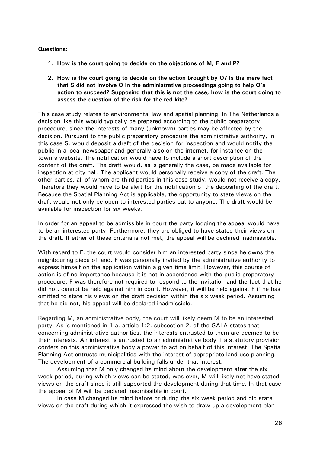#### Questions:

- 1. How is the court going to decide on the objections of M, F and P?
- 2. How is the court going to decide on the action brought by O? Is the mere fact that S did not involve O in the administrative proceedings going to help O's action to succeed? Supposing that this is not the case, how is the court going to assess the question of the risk for the red kite?

This case study relates to environmental law and spatial planning. In The Netherlands a decision like this would typically be prepared according to the public preparatory procedure, since the interests of many (unknown) parties may be affected by the decision. Pursuant to the public preparatory procedure the administrative authority, in this case S, would deposit a draft of the decision for inspection and would notify the public in a local newspaper and generally also on the internet, for instance on the town's website. The notification would have to include a short description of the content of the draft. The draft would, as is generally the case, be made available for inspection at city hall. The applicant would personally receive a copy of the draft. The other parties, all of whom are third parties in this case study, would not receive a copy. Therefore they would have to be alert for the notification of the depositing of the draft. Because the Spatial Planning Act is applicable, the opportunity to state views on the draft would not only be open to interested parties but to anyone. The draft would be available for inspection for six weeks.

In order for an appeal to be admissible in court the party lodging the appeal would have to be an interested party. Furthermore, they are obliged to have stated their views on the draft. If either of these criteria is not met, the appeal will be declared inadmissible.

With regard to F, the court would consider him an interested party since he owns the neighbouring piece of land. F was personally invited by the administrative authority to express himself on the application within a given time limit. However, this course of action is of no importance because it is not in accordance with the public preparatory procedure. F was therefore not required to respond to the invitation and the fact that he did not, cannot be held against him in court. However, it will be held against F if he has omitted to state his views on the draft decision within the six week period. Assuming that he did not, his appeal will be declared inadmissible.

Regarding M, an administrative body, the court will likely deem M to be an interested party. As is mentioned in 1.a, article 1:2, subsection 2, of the GALA states that concerning administrative authorities, the interests entrusted to them are deemed to be their interests. An interest is entrusted to an administrative body if a statutory provision confers on this administrative body a power to act on behalf of this interest. The Spatial Planning Act entrusts municipalities with the interest of appropriate land-use planning. The development of a commercial building falls under that interest.

 Assuming that M only changed its mind about the development after the six week period, during which views can be stated, was over, M will likely not have stated views on the draft since it still supported the development during that time. In that case the appeal of M will be declared inadmissible in court.

 In case M changed its mind before or during the six week period and did state views on the draft during which it expressed the wish to draw up a development plan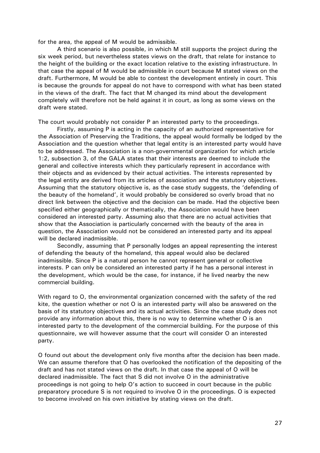for the area, the appeal of M would be admissible.

 A third scenario is also possible, in which M still supports the project during the six week period, but nevertheless states views on the draft, that relate for instance to the height of the building or the exact location relative to the existing infrastructure. In that case the appeal of M would be admissible in court because M stated views on the draft. Furthermore, M would be able to contest the development entirely in court. This is because the grounds for appeal do not have to correspond with what has been stated in the views of the draft. The fact that M changed its mind about the development completely will therefore not be held against it in court, as long as some views on the draft were stated.

The court would probably not consider P an interested party to the proceedings.

 Firstly, assuming P is acting in the capacity of an authorized representative for the Association of Preserving the Traditions, the appeal would formally be lodged by the Association and the question whether that legal entity is an interested party would have to be addressed. The Association is a non-governmental organization for which article 1:2, subsection 3, of the GALA states that their interests are deemed to include the general and collective interests which they particularly represent in accordance with their objects and as evidenced by their actual activities. The interests represented by the legal entity are derived from its articles of association and the statutory objectives. Assuming that the statutory objective is, as the case study suggests, the 'defending of the beauty of the homeland', it would probably be considered so overly broad that no direct link between the objective and the decision can be made. Had the objective been specified either geographically or thematically, the Association would have been considered an interested party. Assuming also that there are no actual activities that show that the Association is particularly concerned with the beauty of the area in question, the Association would not be considered an interested party and its appeal will be declared inadmissible.

 Secondly, assuming that P personally lodges an appeal representing the interest of defending the beauty of the homeland, this appeal would also be declared inadmissible. Since P is a natural person he cannot represent general or collective interests. P can only be considered an interested party if he has a personal interest in the development, which would be the case, for instance, if he lived nearby the new commercial building.

With regard to O, the environmental organization concerned with the safety of the red kite, the question whether or not O is an interested party will also be answered on the basis of its statutory objectives and its actual activities. Since the case study does not provide any information about this, there is no way to determine whether O is an interested party to the development of the commercial building. For the purpose of this questionnaire, we will however assume that the court will consider O an interested party.

O found out about the development only five months after the decision has been made. We can assume therefore that O has overlooked the notification of the depositing of the draft and has not stated views on the draft. In that case the appeal of O will be declared inadmissible. The fact that S did not involve O in the administrative proceedings is not going to help O's action to succeed in court because in the public preparatory procedure S is not required to involve O in the proceedings. O is expected to become involved on his own initiative by stating views on the draft.